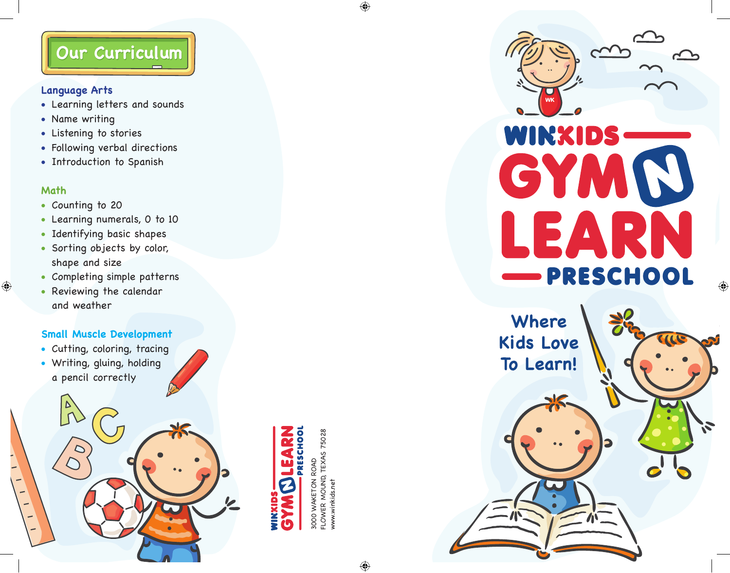# **Our Curriculum**

### **Language Arts**

- Learning letters and sounds
- Name writing
- Listening to stories
- Following verbal directions
- Introduction to Spanish

### **Math**

 $\bigoplus$ 

- Counting to 20
- Learning numerals, 0 to 10
- Identifying basic shapes
- Sorting objects by color, shape and size
- Completing simple patterns
- Reviewing the calendar and weather

### **Small Muscle Development**

- Cutting, coloring, tracing
- Writing, gluing, holding a pencil correctly

LOWER MOUND, TEXAS 75028 FLOWER MOUND, TEXAS 75028 3000 WAKETON ROAD 3000 WAKETON ROAD www.winkids.netvww.winkids.net



⊕

 $\bigoplus$